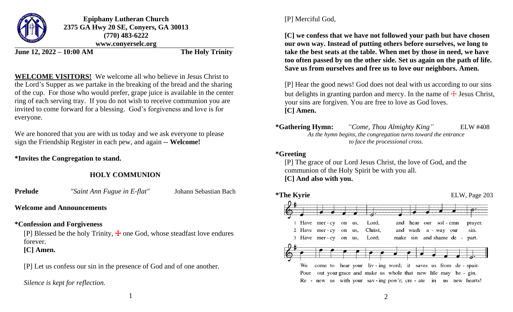

**Epiphany Lutheran Church 2375 GA Hwy 20 SE, Conyers, GA 30013 (770) 483-6222 www.conyerselc.org**

**June 12, 2022 – 10:00 AM The Holy Trinity**

**WELCOME VISITORS!** We welcome all who believe in Jesus Christ to the Lord's Supper as we partake in the breaking of the bread and the sharing of the cup. For those who would prefer, grape juice is available in the center ring of each serving tray. If you do not wish to receive communion you are invited to come forward for a blessing. God's forgiveness and love is for everyone.

We are honored that you are with us today and we ask everyone to please sign the Friendship Register in each pew, and again -- **Welcome!**

**\*Invites the Congregation to stand.**

# **HOLY COMMUNION**

**Prelude** *"Saint Ann Fugue in E-flat"* Johann Sebastian Bach

# **Welcome and Announcements**

# **\*Confession and Forgiveness**

[P] Blessed be the holy Trinity,  $\pm$  one God, whose steadfast love endures forever. **[C] Amen.**

[P] Let us confess our sin in the presence of God and of one another.

*Silence is kept for reflection.*

[P] Merciful God,

**[C] we confess that we have not followed your path but have chosen our own way. Instead of putting others before ourselves, we long to take the best seats at the table. When met by those in need, we have too often passed by on the other side. Set us again on the path of life. Save us from ourselves and free us to love our neighbors. Amen.**

[P] Hear the good news! God does not deal with us according to our sins but delights in granting pardon and mercy. In the name of  $\pm$  Jesus Christ, your sins are forgiven. You are free to love as God loves. **[C] Amen.**

**\*Gathering Hymn:** *"Come, Thou Almighty King"* ELW #408 *As the hymn begins, the congregation turns toward the entrance to face the processional cross.*

## **\*Greeting**

[P] The grace of our Lord Jesus Christ, the love of God, and the communion of the Holy Spirit be with you all. **[C] And also with you.**



1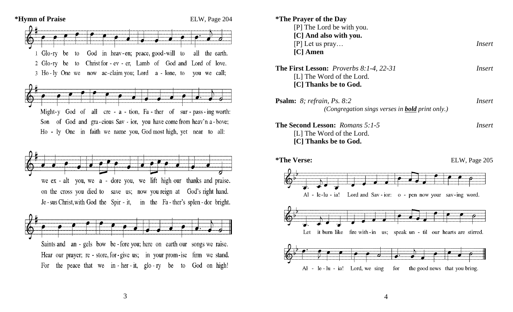

| *The Prayer of the Day<br>[P] The Lord be with you.                                                         |               |
|-------------------------------------------------------------------------------------------------------------|---------------|
| [C] And also with you.<br>$[P]$ Let us pray<br>$[C]$ Amen                                                   | Insert        |
| <b>The First Lesson:</b> <i>Proverbs 8:1-4, 22-31</i><br>[L] The Word of the Lord.<br>[C] Thanks be to God. | <i>Insert</i> |
| <b>Psalm:</b> 8; refrain, Ps. 8:2<br>(Congregation sings verses in <b>bold</b> print only.)                 | <i>Insert</i> |
| <b>The Second Lesson: Romans 5:1-5</b><br>[L] The Word of the Lord.<br>[C] Thanks be to God.                | Insert        |
| <i>*</i> The Verse:                                                                                         | ELW, Page 205 |
| $Al - le-lu - ia!$<br>Lord and Sav-ior: o - pen now your sav-ing word.                                      |               |
| it burn like<br>fire with $-in$ us;<br>Let<br>speak un - til our hearts are stirred.                        |               |
| $Al$ le-lu-ia! Lord, we sing<br>for<br>the good news that you bring.                                        |               |

3

4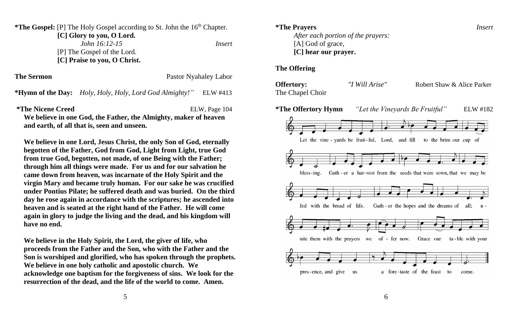\*The Gospel: [P] The Holy Gospel according to St. John the 16<sup>th</sup> Chapter.

 **[C] Glory to you, O Lord.** *John 16:12-15**Insert*

[P] The Gospel of the Lord.  **[C] Praise to you, O Christ.**

**The Sermon** Pastor Nyahaley Labor

**\*Hymn of the Day:** *Holy, Holy, Holy, Lord God Almighty!"* ELW #413

**\*The Nicene Creed** ELW, Page 104

**We believe in one God, the Father, the Almighty, maker of heaven and earth, of all that is, seen and unseen.**

**We believe in one Lord, Jesus Christ, the only Son of God, eternally begotten of the Father, God from God, Light from Light, true God from true God, begotten, not made, of one Being with the Father; through him all things were made. For us and for our salvation he came down from heaven, was incarnate of the Holy Spirit and the virgin Mary and became truly human. For our sake he was crucified under Pontius Pilate; he suffered death and was buried. On the third day he rose again in accordance with the scriptures; he ascended into heaven and is seated at the right hand of the Father. He will come again in glory to judge the living and the dead, and his kingdom will have no end.**

**We believe in the Holy Spirit, the Lord, the giver of life, who proceeds from the Father and the Son, who with the Father and the Son is worshiped and glorified, who has spoken through the prophets. We believe in one holy catholic and apostolic church. We acknowledge one baptism for the forgiveness of sins. We look for the resurrection of the dead, and the life of the world to come. Amen.**

**\*The Prayers** *Insert*

*After each portion of the prayers:* [A] God of grace, **[C] hear our prayer.**

#### **The Offering**

**Offertory:** *"I Will Arise"* Robert Shaw & Alice Parker The Chapel Choir



6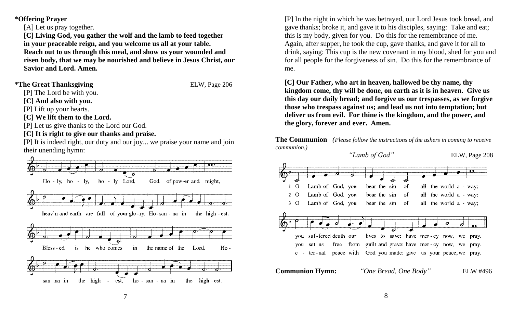**\*Offering Prayer**

[A] Let us pray together.

**[C] Living God, you gather the wolf and the lamb to feed together in your peaceable reign, and you welcome us all at your table. Reach out to us through this meal, and show us your wounded and risen body, that we may be nourished and believe in Jesus Christ, our Savior and Lord. Amen.**

#### \*The Great Thanksgiving ELW, Page 206

[P] The Lord be with you.

**[C] And also with you.**

[P] Lift up your hearts.

**[C] We lift them to the Lord.**

[P] Let us give thanks to the Lord our God.

### **[C] It is right to give our thanks and praise.**

[P] It is indeed right, our duty and our joy... we praise your name and join their unending hymn:



[P] In the night in which he was betrayed, our Lord Jesus took bread, and gave thanks; broke it, and gave it to his disciples, saying: Take and eat; this is my body, given for you. Do this for the remembrance of me. Again, after supper, he took the cup, gave thanks, and gave it for all to drink, saying: This cup is the new covenant in my blood, shed for you and for all people for the forgiveness of sin. Do this for the remembrance of me.

**[C] Our Father, who art in heaven, hallowed be thy name, thy kingdom come, thy will be done, on earth as it is in heaven. Give us this day our daily bread; and forgive us our trespasses, as we forgive those who trespass against us; and lead us not into temptation; but deliver us from evil. For thine is the kingdom, and the power, and the glory, forever and ever. Amen.**

**The Communion** *(Please follow the instructions of the ushers in coming to receive communion.)*

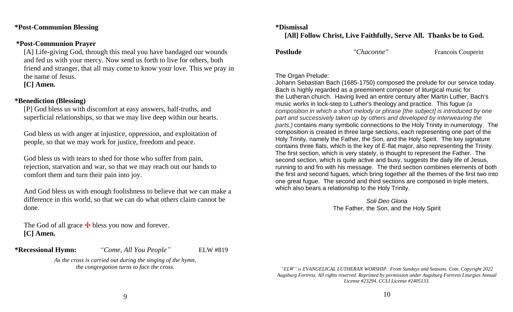**\*Post-Communion Blessing**

#### **\*Post-Communion Prayer**

[A] Life-giving God, through this meal you have bandaged our wounds and fed us with your mercy. Now send us forth to live for others, both friend and stranger, that all may come to know your love. This we pray in the name of Jesus.

**[C] Amen.**

#### **\*Benediction (Blessing)**

[P] God bless us with discomfort at easy answers, half-truths, and superficial relationships, so that we may live deep within our hearts.

God bless us with anger at injustice, oppression, and exploitation of people, so that we may work for justice, freedom and peace.

God bless us with tears to shed for those who suffer from pain, rejection, starvation and war, so that we may reach out our hands to comfort them and turn their pain into joy.

And God bless us with enough foolishness to believe that we can make a difference in this world, so that we can do what others claim cannot be done.

The God of all grace  $\pm$  bless you now and forever. **[C] Amen.**

**\*Recessional Hymn:** *"Come, All You People"* ELW #819

*As the cross is carried out during the singing of the hymn, the congregation turns to face the cross.*

# **[All] Follow Christ, Live Faithfully, Serve All. Thanks be to God.**

**Postlude** *"Chaconne"* Francois Couperin

#### The Organ Prelude:

Johann Sebastian Bach (1685-1750) composed the prelude for our service today. Bach is highly regarded as a preeminent composer of liturgical music for the Lutheran church. Having lived an entire century after Martin Luther, Bach's music works in lock-step to Luther's theology and practice. This fugue *(a composition in which a short melody or phrase [the subject] is introduced by one part and successively taken up by others and developed by interweaving the parts.)* contains many symbolic connections to the Holy Trinity in numerology. The composition is created in three large sections, each representing one part of the Holy Trinity, namely the Father, the Son, and the Holy Spirit. The key signature contains three flats, which is the key of E-flat major, also representing the Trinity. The first section, which is very stately, is thought to represent the Father. The second section, which is quite active and busy, suggests the daily life of Jesus, running to and fro with his message. The third section combines elements of both the first and second fugues, which bring together all the themes of the first two into one great fugue. The second and third sections are composed in triple meters, which also bears a relationship to the Holy Trinity.

> *Soli Deo Gloria* The Father, the Son, and the Holy Spirit

*"ELW" is EVANGELICAL LUTHERAN WORSHIP. From Sundays and Seasons. Com. Copyright 2022 Augsburg Fortress. All rights reserved. Reprinted by permission under Augsburg Fortress Liturgies Annual License #23294. CCLI License #2405133.*